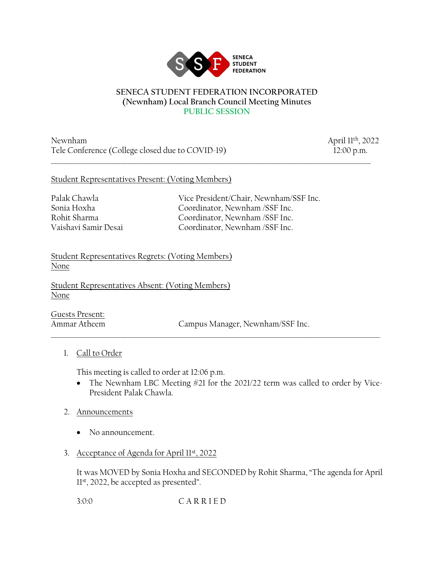

## **SENECA STUDENT FEDERATION INCORPORATED (Newnham) Local Branch Council Meeting Minutes PUBLIC SESSION**

\_\_\_\_\_\_\_\_\_\_\_\_\_\_\_\_\_\_\_\_\_\_\_\_\_\_\_\_\_\_\_\_\_\_\_\_\_\_\_\_\_\_\_\_\_\_\_\_\_\_\_\_\_\_\_\_\_\_\_\_\_\_\_\_\_\_\_\_\_\_\_\_\_\_\_\_\_\_\_\_\_\_\_\_\_\_\_\_\_\_\_\_\_\_\_\_\_\_\_\_

Newnham April 11th, 2022 Tele Conference (College closed due to COVID-19) 12:00 p.m.

## Student Representatives Present: (Voting Members)

Palak Chawla **Vice President/Chair, Newnham/SSF Inc.** Sonia Hoxha Coordinator, Newnham /SSF Inc. Rohit Sharma Coordinator, Newnham /SSF Inc. Vaishavi Samir Desai Coordinator, Newnham /SSF Inc.

Student Representatives Regrets: (Voting Members) None

Student Representatives Absent: (Voting Members) None

Guests Present:

Ammar Atheem Campus Manager, Newnham/SSF Inc.

1. Call to Order

This meeting is called to order at 12:06 p.m.

• The Newnham LBC Meeting #21 for the 2021/22 term was called to order by Vice-President Palak Chawla.

\_\_\_\_\_\_\_\_\_\_\_\_\_\_\_\_\_\_\_\_\_\_\_\_\_\_\_\_\_\_\_\_\_\_\_\_\_\_\_\_\_\_\_\_\_\_\_\_\_\_\_\_\_\_\_\_\_\_\_\_\_\_\_\_\_\_\_\_\_\_\_\_\_\_\_\_\_\_\_\_\_\_\_\_\_\_\_\_\_\_\_\_\_\_\_\_\_\_\_\_\_\_\_

- 2. Announcements
	- No announcement.
- 3. Acceptance of Agenda for April 11st, 2022

It was MOVED by Sonia Hoxha and SECONDED by Rohit Sharma, "The agenda for April 11st, 2022, be accepted as presented".

3:0:0 C A R R I E D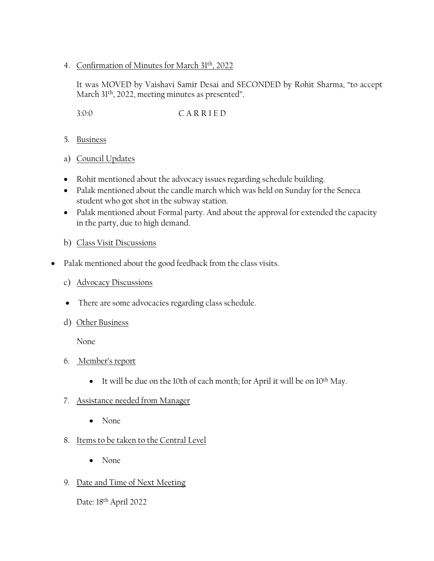4. Confirmation of Minutes for March 31th, 2022

It was MOVED by Vaishavi Samir Desai and SECONDED by Rohit Sharma, "to accept March 31th, 2022, meeting minutes as presented".

3:0:0 C A R R I E D

- 5. Business
- a) Council Updates
- Rohit mentioned about the advocacy issues regarding schedule building.
- Palak mentioned about the candle march which was held on Sunday for the Seneca student who got shot in the subway station.
- Palak mentioned about Formal party. And about the approval for extended the capacity in the party, due to high demand.
- b) Class Visit Discussions
- Palak mentioned about the good feedback from the class visits.
	- c) Advocacy Discussions
	- There are some advocacies regarding class schedule.
	- d) Other Business

None

- 6. Member's report
	- It will be due on the 10th of each month; for April it will be on 10th May.
- 7. Assistance needed from Manager
	- None
- 8. Items to be taken to the Central Level
	- None
- 9. Date and Time of Next Meeting

Date: 18th April 2022